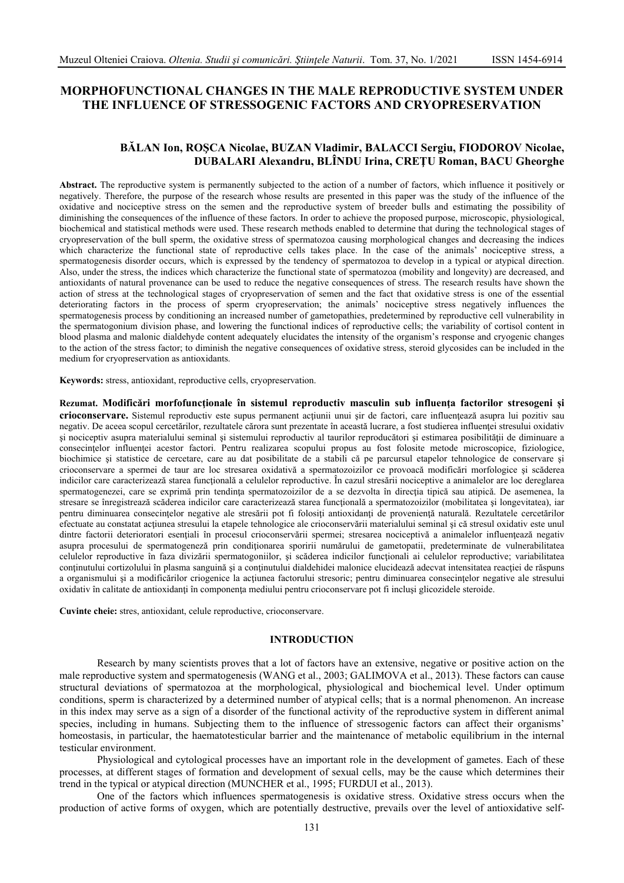# **MORPHOFUNCTIONAL CHANGES IN THE MALE REPRODUCTIVE SYSTEM UNDER THE INFLUENCE OF STRESSOGENIC FACTORS AND CRYOPRESERVATION**

## **BĂLAN Ion, ROŞCA Nicolae, BUZAN Vladimir, BALACCI Sergiu, FIODOROV Nicolae, DUBALARI Alexandru, BLÎNDU Irina, CREŢU Roman, BACU Gheorghe**

**Abstract.** The reproductive system is permanently subjected to the action of a number of factors, which influence it positively or negatively. Therefore, the purpose of the research whose results are presented in this paper was the study of the influence of the oxidative and nociceptive stress on the semen and the reproductive system of breeder bulls and estimating the possibility of diminishing the consequences of the influence of these factors. In order to achieve the proposed purpose, microscopic, physiological, biochemical and statistical methods were used. These research methods enabled to determine that during the technological stages of cryopreservation of the bull sperm, the oxidative stress of spermatozoa causing morphological changes and decreasing the indices which characterize the functional state of reproductive cells takes place. In the case of the animals' nociceptive stress, a spermatogenesis disorder occurs, which is expressed by the tendency of spermatozoa to develop in a typical or atypical direction. Also, under the stress, the indices which characterize the functional state of spermatozoa (mobility and longevity) are decreased, and antioxidants of natural provenance can be used to reduce the negative consequences of stress. The research results have shown the action of stress at the technological stages of cryopreservation of semen and the fact that oxidative stress is one of the essential deteriorating factors in the process of sperm cryopreservation; the animals' nociceptive stress negatively influences the spermatogenesis process by conditioning an increased number of gametopathies, predetermined by reproductive cell vulnerability in the spermatogonium division phase, and lowering the functional indices of reproductive cells; the variability of cortisol content in blood plasma and malonic dialdehyde content adequately elucidates the intensity of the organism's response and cryogenic changes to the action of the stress factor; to diminish the negative consequences of oxidative stress, steroid glycosides can be included in the medium for cryopreservation as antioxidants.

**Keywords:** stress, antioxidant, reproductive cells, cryopreservation.

**Rezumat. Modificări morfofuncţionale în sistemul reproductiv masculin sub influenţa factorilor stresogeni și crioconservare.** Sistemul reproductiv este supus permanent actiunii unui sir de factori, care influentează asupra lui pozitiv sau negativ. De aceea scopul cercetărilor, rezultatele cărora sunt prezentate în această lucrare, a fost studierea influenţei stresului oxidativ şi nociceptiv asupra materialului seminal şi sistemului reproductiv al taurilor reproducători şi estimarea posibilităţii de diminuare a consecințelor influenței acestor factori. Pentru realizarea scopului propus au fost folosite metode microscopice, fiziologice, biochimice şi statistice de cercetare, care au dat posibilitate de a stabili că pe parcursul etapelor tehnologice de conservare şi crioconservare a spermei de taur are loc stresarea oxidativă a spermatozoizilor ce provoacă modificări morfologice şi scăderea indicilor care caracterizează starea functională a celulelor reproductive. În cazul stresării nociceptive a animalelor are loc dereglarea spermatogenezei, care se exprimă prin tendința spermatozoizilor de a se dezvolta în direcția tipică sau atipică. De asemenea, la stresare se înregistrează scăderea indicilor care caracterizează starea functională a spermatozoizilor (mobilitatea și longevitatea), iar pentru diminuarea consecințelor negative ale stresării pot fi folosiți antioxidanți de proveniență naturală. Rezultatele cercetărilor efectuate au constatat actiunea stresului la etapele tehnologice ale crioconservării materialului seminal și că stresul oxidativ este unul dintre factorii deterioratori esentiali în procesul crioconservării spermei; stresarea nociceptivă a animalelor influentează negativ asupra procesului de spermatogeneză prin condiționarea sporirii numărului de gametopatii, predeterminate de vulnerabilitatea celulelor reproductive în faza divizării spermatogoniilor, și scăderea indicilor funcționali ai celulelor reproductive; variabilitatea conţinutului cortizolului în plasma sanguină şi a conţinutului dialdehidei malonice elucidează adecvat intensitatea reacţiei de răspuns a organismului şi a modificărilor criogenice la acţiunea factorului stresoric; pentru diminuarea consecinţelor negative ale stresului oxidativ în calitate de antioxidanti în componenta mediului pentru crioconservare pot fi inclusi glicozidele steroide.

**Cuvinte cheie:** stres, antioxidant, celule reproductive, crioconservare.

## **INTRODUCTION**

Research by many scientists proves that a lot of factors have an extensive, negative or positive action on the male reproductive system and spermatogenesis (WANG et al., 2003; GALIMOVA et al., 2013). These factors can cause structural deviations of spermatozoa at the morphological, physiological and biochemical level. Under optimum conditions, sperm is characterized by a determined number of atypical cells; that is a normal phenomenon. An increase in this index may serve as a sign of a disorder of the functional activity of the reproductive system in different animal species, including in humans. Subjecting them to the influence of stressogenic factors can affect their organisms' homeostasis, in particular, the haematotesticular barrier and the maintenance of metabolic equilibrium in the internal testicular environment.

Physiological and cytological processes have an important role in the development of gametes. Each of these processes, at different stages of formation and development of sexual cells, may be the cause which determines their trend in the typical or atypical direction (MUNCHER et al., 1995; FURDUI et al., 2013).

One of the factors which influences spermatogenesis is oxidative stress. Oxidative stress occurs when the production of active forms of oxygen, which are potentially destructive, prevails over the level of antioxidative self-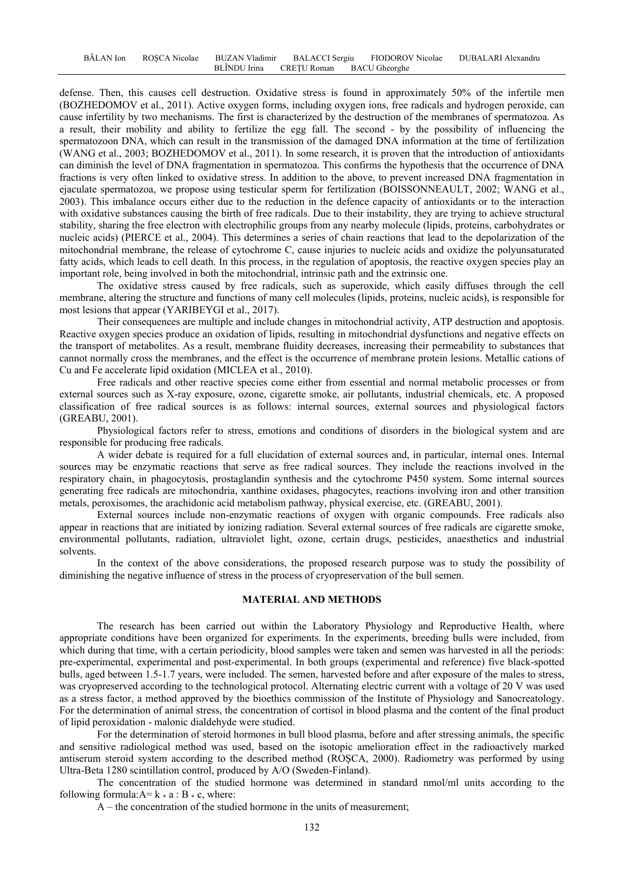defense. Then, this causes cell destruction. Oxidative stress is found in approximately 50% of the infertile men (BOZHEDOMOV et al., 2011). Active oxygen forms, including oxygen ions, free radicals and hydrogen peroxide, can cause infertility by two mechanisms. The first is characterized by the destruction of the membranes of spermatozoa. As a result, their mobility and ability to fertilize the egg fall. The second - by the possibility of influencing the spermatozoon DNA, which can result in the transmission of the damaged DNA information at the time of fertilization (WANG et al., 2003; BOZHEDOMOV et al., 2011). In some research, it is proven that the introduction of antioxidants can diminish the level of DNA fragmentation in spermatozoa. This confirms the hypothesis that the occurrence of DNA fractions is very often linked to oxidative stress. In addition to the above, to prevent increased DNA fragmentation in ejaculate spermatozoa, we propose using testicular sperm for fertilization (BOISSONNEAULT, 2002; WANG et al., 2003). This imbalance occurs either due to the reduction in the defence capacity of antioxidants or to the interaction with oxidative substances causing the birth of free radicals. Due to their instability, they are trying to achieve structural stability, sharing the free electron with electrophilic groups from any nearby molecule (lipids, proteins, carbohydrates or nucleic acids) (PIERCE et al., 2004). This determines a series of chain reactions that lead to the depolarization of the mitochondrial membrane, the release of cytochrome C, cause injuries to nucleic acids and oxidize the polyunsaturated fatty acids, which leads to cell death. In this process, in the regulation of apoptosis, the reactive oxygen species play an important role, being involved in both the mitochondrial, intrinsic path and the extrinsic one.

The oxidative stress caused by free radicals, such as superoxide, which easily diffuses through the cell membrane, altering the structure and functions of many cell molecules (lipids, proteins, nucleic acids), is responsible for most lesions that appear (YARIBEYGI et al., 2017).

Their consequences are multiple and include changes in mitochondrial activity, ATP destruction and apoptosis. Reactive oxygen species produce an oxidation of lipids, resulting in mitochondrial dysfunctions and negative effects on the transport of metabolites. As a result, membrane fluidity decreases, increasing their permeability to substances that cannot normally cross the membranes, and the effect is the occurrence of membrane protein lesions. Metallic cations of Cu and Fe accelerate lipid oxidation (MICLEA et al., 2010).

Free radicals and other reactive species come either from essential and normal metabolic processes or from external sources such as X-ray exposure, ozone, cigarette smoke, air pollutants, industrial chemicals, etc. A proposed classification of free radical sources is as follows: internal sources, external sources and physiological factors (GREABU, 2001).

Physiological factors refer to stress, emotions and conditions of disorders in the biological system and are responsible for producing free radicals.

A wider debate is required for a full elucidation of external sources and, in particular, internal ones. Internal sources may be enzymatic reactions that serve as free radical sources. They include the reactions involved in the respiratory chain, in phagocytosis, prostaglandin synthesis and the cytochrome P450 system. Some internal sources generating free radicals are mitochondria, xanthine oxidases, phagocytes, reactions involving iron and other transition metals, peroxisomes, the arachidonic acid metabolism pathway, physical exercise, etc. (GREABU, 2001).

External sources include non-enzymatic reactions of oxygen with organic compounds. Free radicals also appear in reactions that are initiated by ionizing radiation. Several external sources of free radicals are cigarette smoke, environmental pollutants, radiation, ultraviolet light, ozone, certain drugs, pesticides, anaesthetics and industrial solvents.

In the context of the above considerations, the proposed research purpose was to study the possibility of diminishing the negative influence of stress in the process of cryopreservation of the bull semen.

#### **MATERIAL AND METHODS**

The research has been carried out within the Laboratory Physiology and Reproductive Health, where appropriate conditions have been organized for experiments. In the experiments, breeding bulls were included, from which during that time, with a certain periodicity, blood samples were taken and semen was harvested in all the periods: pre-experimental, experimental and post-experimental. In both groups (experimental and reference) five black-spotted bulls, aged between 1.5-1.7 years, were included. The semen, harvested before and after exposure of the males to stress, was cryopreserved according to the technological protocol. Alternating electric current with a voltage of 20 V was used as a stress factor, a method approved by the bioethics commission of the Institute of Physiology and Sanocreatology. For the determination of animal stress, the concentration of cortisol in blood plasma and the content of the final product of lipid peroxidation - malonic dialdehyde were studied.

For the determination of steroid hormones in bull blood plasma, before and after stressing animals, the specific and sensitive radiological method was used, based on the isotopic amelioration effect in the radioactively marked antiserum steroid system according to the described method (ROŞCA, 2000). Radiometry was performed by using Ultra-Beta 1280 scintillation control, produced by A/O (Sweden-Finland).

The concentration of the studied hormone was determined in standard nmol/ml units according to the following formula: $A= k * a : B * c$ , where:

A – the concentration of the studied hormone in the units of measurement;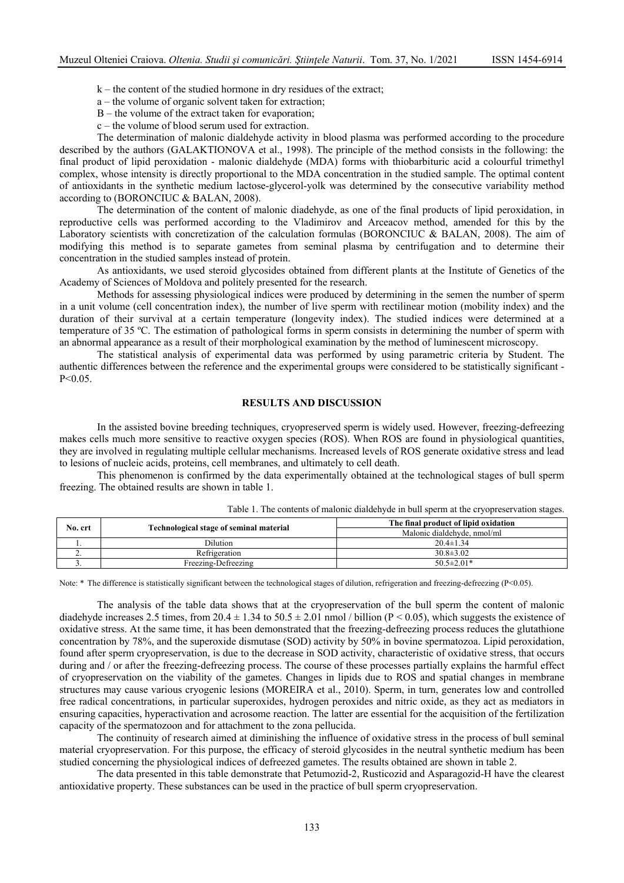- $k -$  the content of the studied hormone in dry residues of the extract;
- a the volume of organic solvent taken for extraction;
- B the volume of the extract taken for evaporation;
- c the volume of blood serum used for extraction.

The determination of malonic dialdehyde activity in blood plasma was performed according to the procedure described by the authors (GALAKTIONOVA et al., 1998). The principle of the method consists in the following: the final product of lipid peroxidation - malonic dialdehyde (MDA) forms with thiobarbituric acid a colourful trimethyl complex, whose intensity is directly proportional to the MDA concentration in the studied sample. The optimal content of antioxidants in the synthetic medium lactose-glycerol-yolk was determined by the consecutive variability method according to (BORONCIUC & BALAN, 2008).

The determination of the content of malonic diadehyde, as one of the final products of lipid peroxidation, in reproductive cells was performed according to the Vladimirov and Arceacov method, amended for this by the Laboratory scientists with concretization of the calculation formulas (BORONCIUC & BALAN, 2008). The aim of modifying this method is to separate gametes from seminal plasma by centrifugation and to determine their concentration in the studied samples instead of protein.

As antioxidants, we used steroid glycosides obtained from different plants at the Institute of Genetics of the Academy of Sciences of Moldova and politely presented for the research.

Methods for assessing physiological indices were produced by determining in the semen the number of sperm in a unit volume (cell concentration index), the number of live sperm with rectilinear motion (mobility index) and the duration of their survival at a certain temperature (longevity index). The studied indices were determined at a temperature of 35 ºC. The estimation of pathological forms in sperm consists in determining the number of sperm with an abnormal appearance as a result of their morphological examination by the method of luminescent microscopy.

The statistical analysis of experimental data was performed by using parametric criteria by Student. The authentic differences between the reference and the experimental groups were considered to be statistically significant - P<0.05.

### **RESULTS AND DISCUSSION**

In the assisted bovine breeding techniques, cryopreserved sperm is widely used. However, freezing-defreezing makes cells much more sensitive to reactive oxygen species (ROS). When ROS are found in physiological quantities, they are involved in regulating multiple cellular mechanisms. Increased levels of ROS generate oxidative stress and lead to lesions of nucleic acids, proteins, cell membranes, and ultimately to cell death.

This phenomenon is confirmed by the data experimentally obtained at the technological stages of bull sperm freezing. The obtained results are shown in table 1.

| No. crt  |                                         | The final product of lipid oxidation |  |
|----------|-----------------------------------------|--------------------------------------|--|
|          | Technological stage of seminal material | Malonic dialdehyde, nmol/ml          |  |
|          | Dilution                                | $20.4 \pm 1.34$                      |  |
| <u>.</u> | Refrigeration                           | $30.8 \pm 3.02$                      |  |
|          | Freezing-Defreezing                     | $50.5 \pm 2.01*$                     |  |

Table 1. The contents of malonic dialdehyde in bull sperm at the cryopreservation stages.

Note:  $*$  The difference is statistically significant between the technological stages of dilution, refrigeration and freezing-defreezing (P<0.05).

The analysis of the table data shows that at the cryopreservation of the bull sperm the content of malonic diadehyde increases 2.5 times, from  $20.4 \pm 1.34$  to  $50.5 \pm 2.01$  nmol / billion (P < 0.05), which suggests the existence of oxidative stress. At the same time, it has been demonstrated that the freezing-defreezing process reduces the glutathione concentration by 78%, and the superoxide dismutase (SOD) activity by 50% in bovine spermatozoa. Lipid peroxidation, found after sperm cryopreservation, is due to the decrease in SOD activity, characteristic of oxidative stress, that occurs during and / or after the freezing-defreezing process. The course of these processes partially explains the harmful effect of cryopreservation on the viability of the gametes. Changes in lipids due to ROS and spatial changes in membrane structures may cause various cryogenic lesions (MOREIRA et al., 2010). Sperm, in turn, generates low and controlled free radical concentrations, in particular superoxides, hydrogen peroxides and nitric oxide, as they act as mediators in ensuring capacities, hyperactivation and acrosome reaction. The latter are essential for the acquisition of the fertilization capacity of the spermatozoon and for attachment to the zona pellucida.

The continuity of research aimed at diminishing the influence of oxidative stress in the process of bull seminal material cryopreservation. For this purpose, the efficacy of steroid glycosides in the neutral synthetic medium has been studied concerning the physiological indices of defreezed gametes. The results obtained are shown in table 2.

The data presented in this table demonstrate that Petumozid-2, Rusticozid and Asparagozid-H have the clearest antioxidative property. These substances can be used in the practice of bull sperm cryopreservation.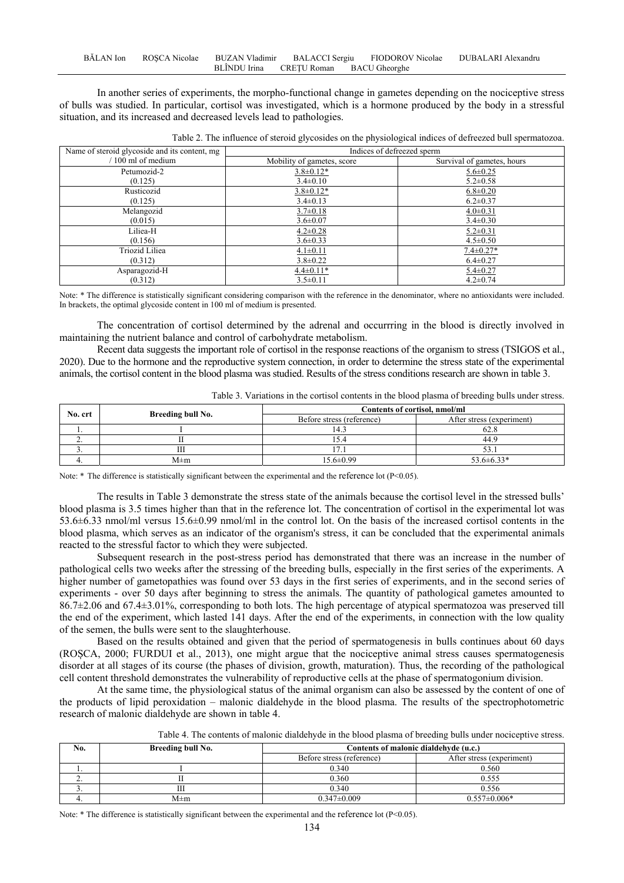In another series of experiments, the morpho-functional change in gametes depending on the nociceptive stress of bulls was studied. In particular, cortisol was investigated, which is a hormone produced by the body in a stressful situation, and its increased and decreased levels lead to pathologies.

| Name of steroid glycoside and its content, mg | Indices of defreezed sperm |                            |  |
|-----------------------------------------------|----------------------------|----------------------------|--|
| $/100$ ml of medium                           | Mobility of gametes, score | Survival of gametes, hours |  |
| Petumozid-2                                   | $3.8 \pm 0.12*$            | $5.6 \pm 0.25$             |  |
| (0.125)                                       | $3.4 \pm 0.10$             | $5.2 \pm 0.58$             |  |
| Rusticozid                                    | $3.8 \pm 0.12*$            | $6.8 \pm 0.20$             |  |
| (0.125)                                       | $3.4 \pm 0.13$             | $6.2 \pm 0.37$             |  |
| Melangozid                                    | $3.7 \pm 0.18$             | $4.0 \pm 0.31$             |  |
| (0.015)                                       | $3.6 \pm 0.07$             | $3.4 \pm 0.30$             |  |
| Liliea-H                                      | $4.2 \pm 0.28$             | $5.2 \pm 0.31$             |  |
| (0.156)                                       | $3.6 \pm 0.33$             | $4.5 \pm 0.50$             |  |
| <b>Triozid Liliea</b>                         | $4.1 \pm 0.11$             | $7.4 \pm 0.27*$            |  |
| (0.312)                                       | $3.8 \pm 0.22$             | $6.4 \pm 0.27$             |  |
| Asparagozid-H                                 | $4.4 \pm 0.11*$            | $5.4 \pm 0.27$             |  |
| (0.312)                                       | $3.5 \pm 0.11$             | $4.2 \pm 0.74$             |  |

Table 2. The influence of steroid glycosides on the physiological indices of defreezed bull spermatozoa.

Note: \* The difference is statistically significant considering comparison with the reference in the denominator, where no antioxidants were included. In brackets, the optimal glycoside content in 100 ml of medium is presented.

The concentration of cortisol determined by the adrenal and occurrring in the blood is directly involved in maintaining the nutrient balance and control of carbohydrate metabolism.

Recent data suggests the important role of cortisol in the response reactions of the organism to stress (TSIGOS et al., 2020). Due to the hormone and the reproductive system connection, in order to determine the stress state of the experimental animals, the cortisol content in the blood plasma was studied. Results of the stress conditions research are shown in table 3.

|         |                   |                               | ັ                         |
|---------|-------------------|-------------------------------|---------------------------|
| No. crt | Breeding bull No. | Contents of cortisol, nmol/ml |                           |
|         |                   | Before stress (reference)     | After stress (experiment) |
|         |                   |                               | 62.8                      |
|         |                   | LD.4                          | 44.9                      |
|         |                   |                               |                           |
|         | M±m               | $15.6 \pm 0.99$               | 53.6±6.33*                |

Table 3. Variations in the cortisol contents in the blood plasma of breeding bulls under stress.

Note: \* The difference is statistically significant between the experimental and the reference lot (P<0.05).

The results in Table 3 demonstrate the stress state of the animals because the cortisol level in the stressed bulls' blood plasma is 3.5 times higher than that in the reference lot. The concentration of cortisol in the experimental lot was 53.6±6.33 nmol/ml versus 15.6±0.99 nmol/ml in the control lot. On the basis of the increased cortisol contents in the blood plasma, which serves as an indicator of the organism's stress, it can be concluded that the experimental animals reacted to the stressful factor to which they were subjected.

Subsequent research in the post-stress period has demonstrated that there was an increase in the number of pathological cells two weeks after the stressing of the breeding bulls, especially in the first series of the experiments. A higher number of gametopathies was found over 53 days in the first series of experiments, and in the second series of experiments - over 50 days after beginning to stress the animals. The quantity of pathological gametes amounted to 86.7±2.06 and 67.4±3.01%, corresponding to both lots. The high percentage of atypical spermatozoa was preserved till the end of the experiment, which lasted 141 days. After the end of the experiments, in connection with the low quality of the semen, the bulls were sent to the slaughterhouse.

Based on the results obtained and given that the period of spermatogenesis in bulls continues about 60 days (ROȘCA, 2000; FURDUI et al., 2013), one might argue that the nociceptive animal stress causes spermatogenesis disorder at all stages of its course (the phases of division, growth, maturation). Thus, the recording of the pathological cell content threshold demonstrates the vulnerability of reproductive cells at the phase of spermatogonium division.

At the same time, the physiological status of the animal organism can also be assessed by the content of one of the products of lipid peroxidation – malonic dialdehyde in the blood plasma. The results of the spectrophotometric research of malonic dialdehyde are shown in table 4.

| Table 4. The contents of malonic dialdehyde in the blood plasma of breeding bulls under nociceptive stress. |  |  |  |
|-------------------------------------------------------------------------------------------------------------|--|--|--|
|-------------------------------------------------------------------------------------------------------------|--|--|--|

| No.      | Breeding bull No. | Contents of malonic dialdehyde (u.c.) |                           |
|----------|-------------------|---------------------------------------|---------------------------|
|          |                   | Before stress (reference)             | After stress (experiment) |
| .,       |                   | 0.340                                 | 0.560                     |
| <u>.</u> |                   | 0.360                                 | 0.555                     |
| J.,      | Ш                 | 0.340                                 | 0.556                     |
|          | M±m               | $0.347 \pm 0.009$                     | $0.557 \pm 0.006*$        |

Note: \* The difference is statistically significant between the experimental and the reference lot (P<0.05).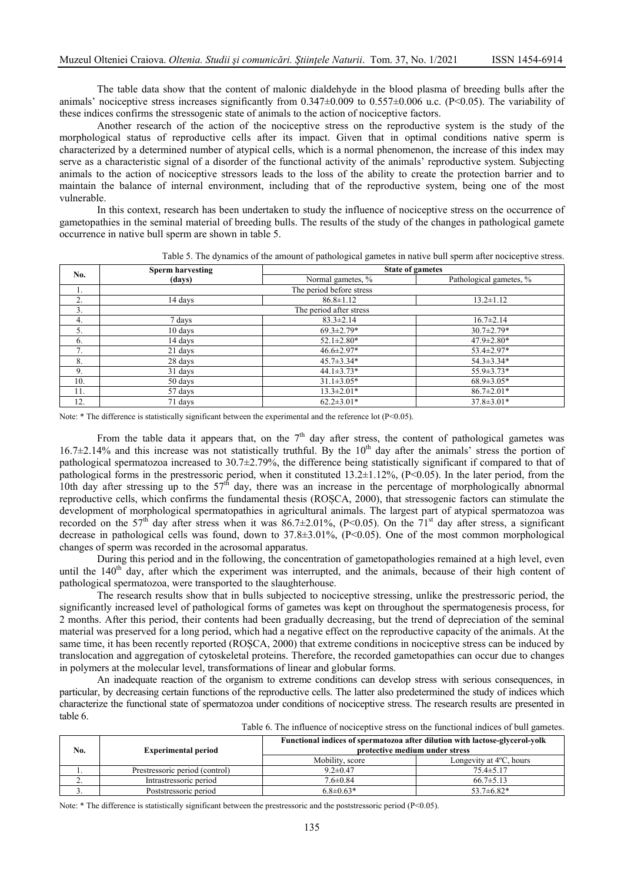The table data show that the content of malonic dialdehyde in the blood plasma of breeding bulls after the animals' nociceptive stress increases significantly from  $0.347\pm0.009$  to  $0.557\pm0.006$  u.c. (P<0.05). The variability of these indices confirms the stressogenic state of animals to the action of nociceptive factors.

Another research of the action of the nociceptive stress on the reproductive system is the study of the morphological status of reproductive cells after its impact. Given that in optimal conditions native sperm is characterized by a determined number of atypical cells, which is a normal phenomenon, the increase of this index may serve as a characteristic signal of a disorder of the functional activity of the animals' reproductive system. Subjecting animals to the action of nociceptive stressors leads to the loss of the ability to create the protection barrier and to maintain the balance of internal environment, including that of the reproductive system, being one of the most vulnerable.

In this context, research has been undertaken to study the influence of nociceptive stress on the occurrence of gametopathies in the seminal material of breeding bulls. The results of the study of the changes in pathological gamete occurrence in native bull sperm are shown in table 5.

| No.        | <b>Sperm harvesting</b><br>(days) | <b>State of gametes</b>  |                         |
|------------|-----------------------------------|--------------------------|-------------------------|
|            |                                   | Normal gametes, %        | Pathological gametes, % |
| Ι.         |                                   | The period before stress |                         |
| 2.         | 14 days                           | $86.8 \pm 1.12$          | $13.2 \pm 1.12$         |
| 3.         | The period after stress           |                          |                         |
| 4.         | 7 days                            | $83.3 \pm 2.14$          | $16.7 \pm 2.14$         |
| 5.         | 10 days                           | $69.3 \pm 2.79*$         | $30.7 \pm 2.79*$        |
| 6.         | 14 days                           | $52.1 \pm 2.80*$         | $47.9 \pm 2.80*$        |
| $\sqrt{2}$ | 21 days                           | $46.6 \pm 2.97*$         | 53.4±2.97*              |
| 8.         | 28 days                           | $45.7 \pm 3.34*$         | 54.3±3.34*              |
| 9.         | 31 days                           | $44.1 \pm 3.73*$         | $55.9 \pm 3.73*$        |
| 10.        | 50 days                           | $31.1 \pm 3.05*$         | $68.9 \pm 3.05*$        |
| 11.        | 57 days                           | $13.3 \pm 2.01*$         | $86.7 \pm 2.01*$        |
| 12.        | 71 days                           | $62.2 \pm 3.01*$         | $37.8 \pm 3.01*$        |

Table 5. The dynamics of the amount of pathological gametes in native bull sperm after nociceptive stress.

Note: \* The difference is statistically significant between the experimental and the reference lot (P<0.05).

From the table data it appears that, on the  $7<sup>th</sup>$  day after stress, the content of pathological gametes was  $16.7\pm2.14\%$  and this increase was not statistically truthful. By the  $10<sup>th</sup>$  day after the animals' stress the portion of pathological spermatozoa increased to 30.7±2.79%, the difference being statistically significant if compared to that of pathological forms in the prestressoric period, when it constituted 13.2±1.12%, (P<0.05). In the later period, from the 10th day after stressing up to the  $57<sup>th</sup>$  day, there was an increase in the percentage of morphologically abnormal reproductive cells, which confirms the fundamental thesis (ROȘCA, 2000), that stressogenic factors can stimulate the development of morphological spermatopathies in agricultural animals. The largest part of atypical spermatozoa was recorded on the 57<sup>th</sup> day after stress when it was 86.7 $\pm$ 2.01%, (P<0.05). On the 71<sup>st</sup> day after stress, a significant decrease in pathological cells was found, down to 37.8±3.01%, (P<0.05). One of the most common morphological changes of sperm was recorded in the acrosomal apparatus.

During this period and in the following, the concentration of gametopathologies remained at a high level, even until the  $140<sup>th</sup>$  day, after which the experiment was interrupted, and the animals, because of their high content of pathological spermatozoa, were transported to the slaughterhouse.

The research results show that in bulls subjected to nociceptive stressing, unlike the prestressoric period, the significantly increased level of pathological forms of gametes was kept on throughout the spermatogenesis process, for 2 months. After this period, their contents had been gradually decreasing, but the trend of depreciation of the seminal material was preserved for a long period, which had a negative effect on the reproductive capacity of the animals. At the same time, it has been recently reported (ROȘCA, 2000) that extreme conditions in nociceptive stress can be induced by translocation and aggregation of cytoskeletal proteins. Therefore, the recorded gametopathies can occur due to changes in polymers at the molecular level, transformations of linear and globular forms.

An inadequate reaction of the organism to extreme conditions can develop stress with serious consequences, in particular, by decreasing certain functions of the reproductive cells. The latter also predetermined the study of indices which characterize the functional state of spermatozoa under conditions of nociceptive stress. The research results are presented in table 6.

|--|

| No.      | <b>Experimental period</b>     | Functional indices of spermatozoa after dilution with lactose-glycerol-yolk<br>protective medium under stress |                                   |
|----------|--------------------------------|---------------------------------------------------------------------------------------------------------------|-----------------------------------|
|          |                                | Mobility, score                                                                                               | Longevity at $4^{\circ}C$ , hours |
|          | Prestressoric period (control) | $9.2 \pm 0.47$                                                                                                | $75.4 \pm 5.17$                   |
| <u>.</u> | Intrastressoric period         | $7.6 \pm 0.84$                                                                                                | $66.7 \pm 5.13$                   |
|          | Poststressoric period          | $6.8 \pm 0.63*$                                                                                               | $53.7\pm 6.82*$                   |

Note:  $*$  The difference is statistically significant between the prestressoric and the poststressoric period (P<0.05).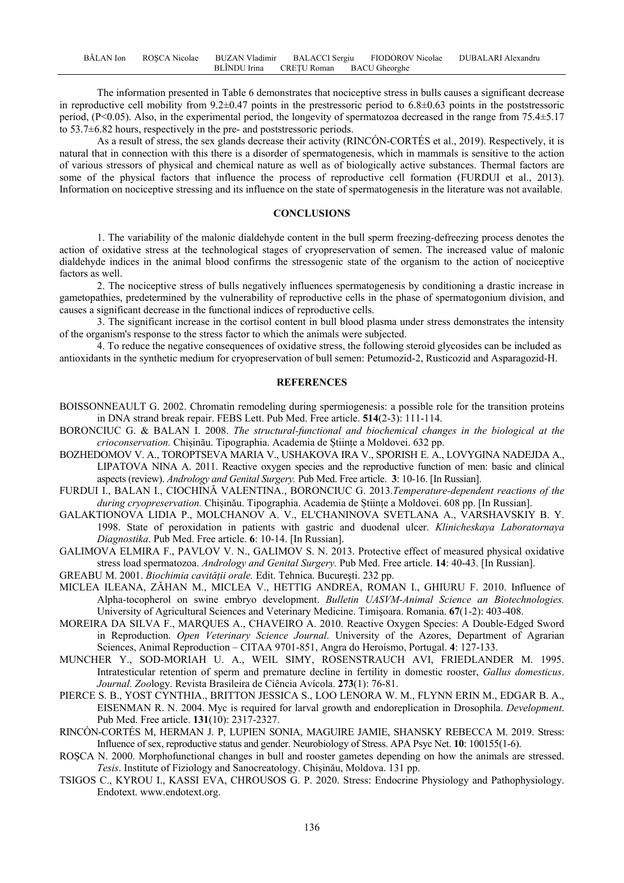The information presented in Table 6 demonstrates that nociceptive stress in bulls causes a significant decrease in reproductive cell mobility from  $9.2\pm0.47$  points in the prestressoric period to  $6.8\pm0.63$  points in the poststressoric period, (P<0.05). Also, in the experimental period, the longevity of spermatozoa decreased in the range from 75.4±5.17 to 53.7±6.82 hours, respectively in the pre- and poststressoric periods.

As a result of stress, the sex glands decrease their activity (RINCÓN-CORTÉS et al., 2019). Respectively, it is natural that in connection with this there is a disorder of spermatogenesis, which in mammals is sensitive to the action of various stressors of physical and chemical nature as well as of biologically active substances. Thermal factors are some of the physical factors that influence the process of reproductive cell formation (FURDUI et al., 2013). Information on nociceptive stressing and its influence on the state of spermatogenesis in the literature was not available.

### **CONCLUSIONS**

1. The variability of the malonic dialdehyde content in the bull sperm freezing-defreezing process denotes the action of oxidative stress at the technological stages of cryopreservation of semen. The increased value of malonic dialdehyde indices in the animal blood confirms the stressogenic state of the organism to the action of nociceptive factors as well.

2. The nociceptive stress of bulls negatively influences spermatogenesis by conditioning a drastic increase in gametopathies, predetermined by the vulnerability of reproductive cells in the phase of spermatogonium division, and causes a significant decrease in the functional indices of reproductive cells.

3. The significant increase in the cortisol content in bull blood plasma under stress demonstrates the intensity of the organism's response to the stress factor to which the animals were subjected.

4. To reduce the negative consequences of oxidative stress, the following steroid glycosides can be included as antioxidants in the synthetic medium for cryopreservation of bull semen: Petumozid-2, Rusticozid and Asparagozid-H.

#### **REFERENCES**

- BOISSONNEAULT G. 2002. Chromatin remodeling during spermiogenesis: a possible role for the transition proteins in DNA strand break repair. FEBS Lett. Pub Med. Free article. **514**(2-3): 111-114.
- BORONCIUC G. & BALAN I. 2008. *The structural-functional and biochemical changes in the biological at the crioconservation.* Chișinău. Tipographia. Academia de Științe a Moldovei. 632 pp.
- BOZHEDOMOV V. A., TOROPTSEVA MARIA V., USHAKOVA IRA V., SPORISH E. A., LOVYGINA NADEJDA A., LIPATOVA NINA A. 2011. Reactive oxygen species and the reproductive function of men: basic and clinical aspects (review). *Andrology and Genital Surgery.* Pub Med. Free article. **3**: 10-16. [In Russian].
- FURDUI I., BALAN I., CIOCHINĂ VALENTINA., BORONCIUC G. 2013.*Temperature-dependent reactions of the during cryopreservation.* Chișinău. Tipographia. Academia de Științe a Moldovei. 608 pp. [In Russian].
- GALAKTIONOVA LIDIA P., MOLCHANOV A. V., EL'CHANINOVA SVETLANA A., VARSHAVSKIY B. Y. 1998. State of peroxidation in patients with gastric and duodenal ulcer. *Klinicheskaya Laboratornaya Diagnostika*. Pub Med. Free article. **6**: 10-14. [In Russian].
- GALIMOVA ELMIRA F., PAVLOV V. N., GALIMOV S. N. 2013. Protective effect of measured physical oxidative stress load spermatozoa. *Andrology and Genital Surgery.* Pub Med. Free article. **14**: 40-43. [In Russian].
- GREABU M. 2001. *Biochimia cavității orale.* Edit. Tehnica. Bucureşti. 232 pp.
- MICLEA ILEANA, ZĂHAN M., MICLEA V., HETTIG ANDREA, ROMAN I., GHIURU F. 2010. Influence of Alpha-tocopherol on swine embryo development. *Bulletin UASVM-Animal Science an Biotechnologies.* University of Agricultural Sciences and Veterinary Medicine. Timişoara. Romania. **67**(1-2): 403-408.
- MOREIRA DA SILVA F., MARQUES A., CHAVEIRO A. 2010. Reactive Oxygen Species: A Double-Edged Sword in Reproduction. *Open Veterinary Science Journal*. University of the Azores, Department of Agrarian Sciences, Animal Reproduction – CITAA 9701-851, Angra do Heroísmo, Portugal. **4**: 127-133.
- MUNCHER Y., SOD-MORIAH U. A., WEIL SIMY, ROSENSTRAUCH AVI, FRIEDLANDER M. 1995. Intratesticular retention of sperm and premature decline in fertility in domestic rooster, *Gallus domesticus*. *Journal. Zoo*logy. Revista Brasileira de Ciência Avícola. **273**(1): 76-81.
- PIERCE S. B., YOST CYNTHIA., BRITTON JESSICA S., LOO LENORA W. M., FLYNN ERIN M., EDGAR B. A., EISENMAN R. N. 2004. Myc is required for larval growth and endoreplication in Drosophila. *Development*. Pub Med. Free article. **131**(10): 2317-2327.
- RINCÓN-CORTÉS M, HERMAN J. P, LUPIEN SONIA, MAGUIRE JAMIE, SHANSKY REBECCA M. 2019. Stress: Influence of sex, reproductive status and gender. Neurobiology of Stress. APA Psyc Net. **10**: 100155(1-6).
- ROȘCA N. 2000. Morphofunctional changes in bull and rooster gametes depending on how the animals are stressed. *Tesis*. Institute of Fiziology and Sanocreatology. Chișinău, Moldova. 131 pp.
- TSIGOS C., KYROU I., KASSI EVA, CHROUSOS G. P. 2020. Stress: Endocrine Physiology and Pathophysiology. Endotext. www.endotext.org.